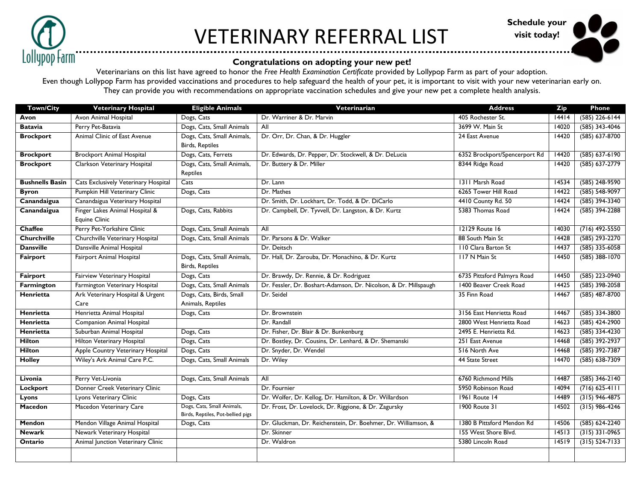

## VETERINARY REFERRAL LIST



## **Congratulations on adopting your new pet!**

Veterinarians on this list have agreed to honor the *Free Health Examination Certificate* provided by Lollypop Farm as part of your adoption. Even though Lollypop Farm has provided vaccinations and procedures to help safeguard the health of your pet, it is important to visit with your new veterinarian early on. They can provide you with recommendations on appropriate vaccination schedules and give your new pet a complete health analysis.

| <b>Town/City</b>       | <b>Veterinary Hospital</b>               | <b>Eligible Animals</b>                                         | Veterinarian                                                     | <b>Address</b>                | <b>Zip</b> | Phone              |
|------------------------|------------------------------------------|-----------------------------------------------------------------|------------------------------------------------------------------|-------------------------------|------------|--------------------|
| Avon                   | Avon Animal Hospital                     | Dogs, Cats                                                      | Dr. Warriner & Dr. Marvin                                        | 405 Rochester St.             | 14414      | $(585)$ 226-6144   |
| <b>Batavia</b>         | Perry Pet-Batavia                        | Dogs, Cats, Small Animals                                       | Al <sub>l</sub>                                                  | 3699 W. Main St               | 14020      | $(585)$ 343-4046   |
| <b>Brockport</b>       | Animal Clinic of East Avenue             | Dogs, Cats, Small Animals,                                      | Dr. Orr, Dr. Chan, & Dr. Huggler                                 | 24 East Avenue                | 14420      | $(585) 637-8700$   |
|                        |                                          | Birds, Reptiles                                                 |                                                                  |                               |            |                    |
| <b>Brockport</b>       | <b>Brockport Animal Hospital</b>         | Dogs, Cats, Ferrets                                             | Dr. Edwards, Dr. Pepper, Dr. Stockwell, & Dr. DeLucia            | 6352 Brockport/Spencerport Rd | 14420      | $(585) 637-6190$   |
| <b>Brockport</b>       | Clarkson Veterinary Hospital             | Dogs, Cats, Small Animals,                                      | Dr. Buttery & Dr. Miller                                         | 8344 Ridge Road               | 14420      | $(585) 637 - 2779$ |
|                        |                                          | Reptiles                                                        |                                                                  |                               |            |                    |
| <b>Bushnells Basin</b> | Cats Exclusively Veterinary Hospital     | Cats                                                            | Dr. Lann                                                         | 1311 Marsh Road               | 14534      | $(585)$ 248-9590   |
| <b>Byron</b>           | Pumpkin Hill Veterinary Clinic           | Dogs, Cats                                                      | Dr. Mathes                                                       | 6265 Tower Hill Road          | 14422      | $(585) 548-9097$   |
| Canandaigua            | Canandaigua Veterinary Hospital          |                                                                 | Dr. Smith, Dr. Lockhart, Dr. Todd, & Dr. DiCarlo                 | 4410 County Rd. 50            | 14424      | $(585)$ 394-3340   |
| Canandaigua            | Finger Lakes Animal Hospital &           | Dogs, Cats, Rabbits                                             | Dr. Campbell, Dr. Tyvvell, Dr. Langston, & Dr. Kurtz             | 5383 Thomas Road              | 14424      | $(585)$ 394-2288   |
|                        | <b>Equine Clinic</b>                     |                                                                 |                                                                  |                               |            |                    |
| <b>Chaffee</b>         | Perry Pet-Yorkshire Clinic               | Dogs, Cats, Small Animals                                       | All                                                              | 12129 Route 16                | 14030      | $(716)$ 492-5550   |
| <b>Churchville</b>     | Churchville Veterinary Hospital          | Dogs, Cats, Small Animals                                       | Dr. Parsons & Dr. Walker                                         | 88 South Main St              | 14428      | $(585)$ 293-2270   |
| <b>Dansville</b>       | Dansville Animal Hospital                |                                                                 | Dr. Deitsch                                                      | 110 Clara Barton St           | 14437      | $(585)$ 335-6058   |
| Fairport               | <b>Fairport Animal Hospital</b>          | Dogs, Cats, Small Animals,                                      | Dr. Hall, Dr. Zarouba, Dr. Monachino, & Dr. Kurtz                | 117 N Main St                 | 14450      | $(585)$ 388-1070   |
|                        |                                          | <b>Birds, Reptiles</b>                                          |                                                                  |                               |            |                    |
| <b>Fairport</b>        | Fairview Veterinary Hospital             | Dogs, Cats                                                      | Dr. Brawdy, Dr. Rennie, & Dr. Rodriguez                          | 6735 Pittsford Palmyra Road   | 14450      | $(585)$ 223-0940   |
| Farmington             | Farmington Veterinary Hospital           | Dogs, Cats, Small Animals                                       | Dr. Fessler, Dr. Boshart-Adamson, Dr. Nicolson, & Dr. Millspaugh | 1400 Beaver Creek Road        | 14425      | $(585)$ 398-2058   |
| Henrietta              | Ark Veterinary Hospital & Urgent         | Dogs, Cats, Birds, Small                                        | Dr. Seidel                                                       | 35 Finn Road                  | 14467      | $(585)$ 487-8700   |
|                        | Care                                     | Animals, Reptiles                                               |                                                                  |                               |            |                    |
| Henrietta              | Henrietta Animal Hospital                | Dogs, Cats                                                      | Dr. Brownstein                                                   | 3156 East Henrietta Road      | 14467      | $(585)$ 334-3800   |
| <b>Henrietta</b>       | <b>Companion Animal Hospital</b>         |                                                                 | Dr. Randall                                                      | 2800 West Henrietta Road      | 14623      | $(585)$ 424-2900   |
| <b>Henrietta</b>       | Suburban Animal Hospital                 | Dogs, Cats                                                      | Dr. Fisher, Dr. Blair & Dr. Bunkenburg                           | 2495 E. Henrietta Rd.         | 14623      | $(585)$ 334-4230   |
| <b>Hilton</b>          | <b>Hilton Veterinary Hospital</b>        | Dogs, Cats                                                      | Dr. Bostley, Dr. Cousins, Dr. Lenhard, & Dr. Shemanski           | 251 East Avenue               | 14468      | $(585)$ 392-2937   |
| <b>Hilton</b>          | Apple Country Veterinary Hospital        | Dogs, Cats                                                      | Dr. Snyder, Dr. Wendel                                           | 516 North Ave                 | 14468      | $(585)$ 392-7387   |
| <b>Holley</b>          | Wiley's Ark Animal Care P.C.             | Dogs, Cats, Small Animals                                       | Dr. Wiley                                                        | 44 State Street               | 14470      | $(585) 638 - 7309$ |
|                        |                                          |                                                                 |                                                                  |                               |            |                    |
| Livonia                | Perry Vet-Livonia                        | Dogs, Cats, Small Animals                                       | All                                                              | 6760 Richmond Mills           | 14487      | $(585)$ 346-2140   |
| <b>Lockport</b>        | Donner Creek Veterinary Clinic           |                                                                 | Dr. Fournier                                                     | 5950 Robinson Road            | 14094      | $(716) 625 - 4111$ |
| <b>Lyons</b>           | Lyons Veterinary Clinic                  | Dogs, Cats                                                      | Dr. Wolfer, Dr. Kellog, Dr. Hamilton, & Dr. Willardson           | <b>1961 Route 14</b>          | 14489      | $(315)$ 946-4875   |
| <b>Macedon</b>         | Macedon Veterinary Care                  | Dogs, Cats, Small Animals,<br>Birds, Reptiles, Pot-bellied pigs | Dr. Frost, Dr. Lovelock, Dr. Riggione, & Dr. Zagursky            | 1900 Route 31                 | 14502      | $(315)$ 986-4246   |
| <b>Mendon</b>          | Mendon Village Animal Hospital           | Dogs, Cats                                                      | Dr. Gluckman, Dr. Reichenstein, Dr. Boehmer, Dr. Williamson, &   | 1380 B Pittsford Mendon Rd    | 14506      | $(585) 624 - 2240$ |
| <b>Newark</b>          | Newark Veterinary Hospital               |                                                                 | Dr. Skinner                                                      | 155 West Shore Blvd.          | 14513      | $(315)$ 331-0965   |
| Ontario                | <b>Animal Junction Veterinary Clinic</b> |                                                                 | Dr. Waldron                                                      | 5380 Lincoln Road             | 14519      | $(315) 524 - 7133$ |
|                        |                                          |                                                                 |                                                                  |                               |            |                    |